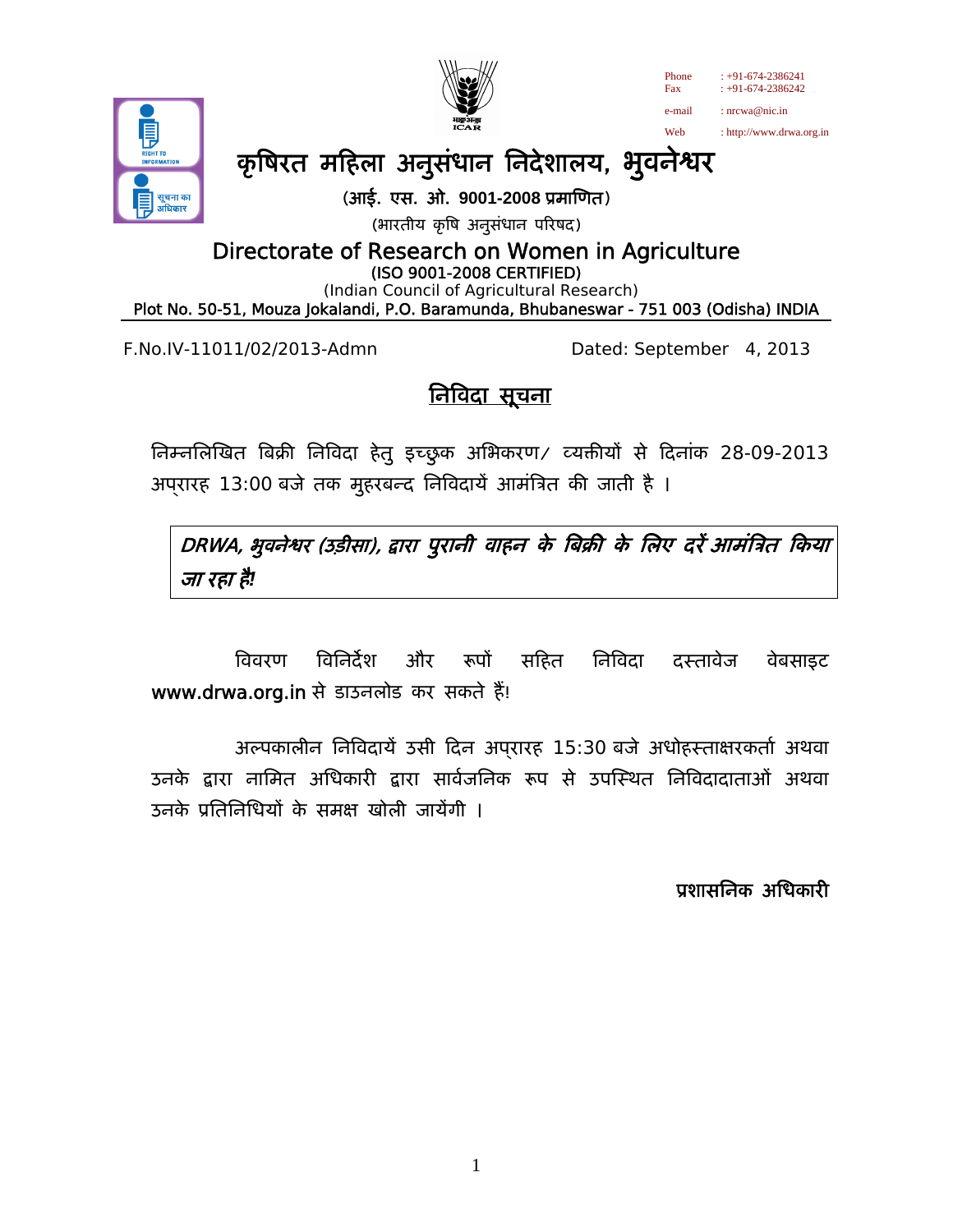



# कृषिरत महिला अनुसंधान निदेशालय, भुवनेश्वर

(आई. एस. ओ. **9001-2008** ूमािणत)

(भारतीय कृषि अनुसंधान परिषद)

Directorate of Research on Women in Agriculture

(ISO 9001-2008 CERTIFIED)

 (Indian Council of Agricultural Research) Plot No. 50-51, Mouza Jokalandi, P.O. Baramunda, Bhubaneswar - 751 003 (Odisha) INDIA

F.No.IV-11011/02/2013-Admn Dated: September 4, 2013

Phone  $\cdot$  +91-674-2386241 Fax : +91-674-2386242 e-mail : nrcwa@nic.in Web : http://www.drwa.org.in

# <u>निविदा सूचना</u>

निम्नलिखित बिक्री निविदा हेतु इच्छुक अभिकरण/ व्यक्तीयों से दिनांक 28-09-2013 अप्रारह 13:00 बजे तक मुहरबन्द निविदायें आमंत्रित की जाती है ।

DRWA, भुवनेश्वर (उड़ीसा), द्वारा पुरानी वाहन के बिक्री के लिए दरें आमंत्रित किया जा रहा है*!* 

विवरण विनिदेश और रूपो सहित निविदा दस्तावेज वेबसाइट www.drwa.org.in से डाउनलोड कर सकते हैं!

अल्पकालीन निविदायें उसी दिन अपरारह 15:30 बजे अधोहस्ताक्षरकर्ता अथवा उनके द्वारा नामित अधिकारी द्वारा सार्वजनिक रूप से उपस्थित निविदादाताओं अथवा उनके प्रतिनिधियों के समक्ष खोली जायेंगी ।

प्रशासनिक अधिकारी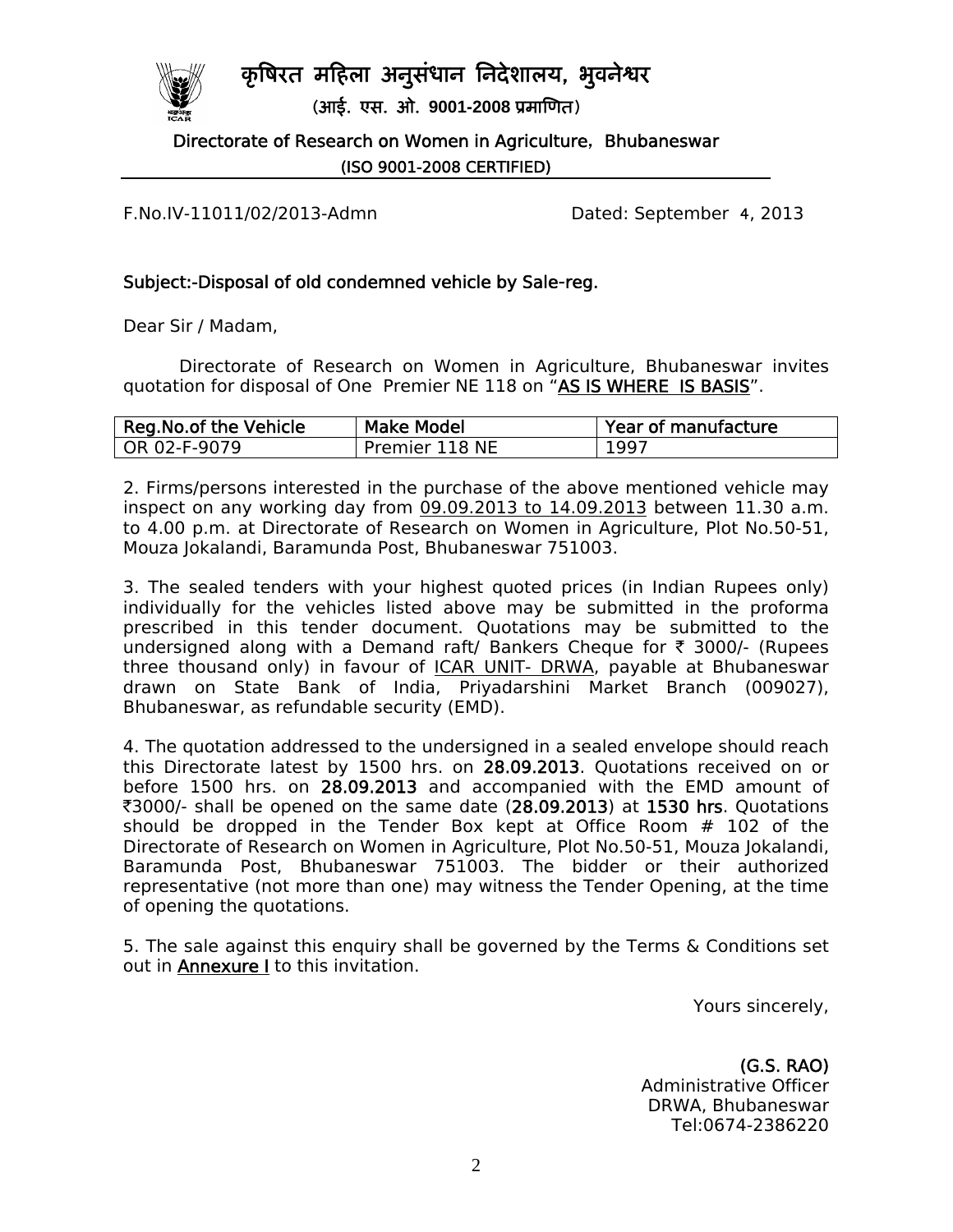## कृषिरत महिला अनुसंधान निदेशालय, भुवनेश्वर



(आई. एस. ओ. **9001-2008** ूमािणत)

Directorate of Research on Women in Agriculture, Bhubaneswar (ISO 9001-2008 CERTIFIED)

F.No.IV-11011/02/2013-Admn Dated: September 4, 2013

### Subject:-Disposal of old condemned vehicle by Sale-reg.

Dear Sir / Madam,

 Directorate of Research on Women in Agriculture, Bhubaneswar invites quotation for disposal of One Premier NE 118 on "AS IS WHERE IS BASIS".

| Reg. No. of the Vehicle | <b>Make Model</b> | Year of manufacture |
|-------------------------|-------------------|---------------------|
| OR 02-F-9079            | Premier 118 NE    | 1997                |

2. Firms/persons interested in the purchase of the above mentioned vehicle may inspect on any working day from 09.09.2013 to 14.09.2013 between 11.30 a.m. to 4.00 p.m. at Directorate of Research on Women in Agriculture, Plot No.50-51, Mouza Jokalandi, Baramunda Post, Bhubaneswar 751003.

3. The sealed tenders with your highest quoted prices (in Indian Rupees only) individually for the vehicles listed above may be submitted in the proforma prescribed in this tender document. Quotations may be submitted to the undersigned along with a Demand raft/ Bankers Cheque for  $\bar{\tau}$  3000/- (Rupees three thousand only) in favour of ICAR UNIT- DRWA, payable at Bhubaneswar drawn on State Bank of India, Priyadarshini Market Branch (009027), Bhubaneswar, as refundable security (EMD).

4. The quotation addressed to the undersigned in a sealed envelope should reach this Directorate latest by 1500 hrs. on 28.09.2013. Quotations received on or before 1500 hrs. on 28.09.2013 and accompanied with the EMD amount of ₹3000/- shall be opened on the same date (28.09.2013) at 1530 hrs. Quotations should be dropped in the Tender Box kept at Office Room # 102 of the Directorate of Research on Women in Agriculture, Plot No.50-51, Mouza Jokalandi, Baramunda Post, Bhubaneswar 751003. The bidder or their authorized representative (not more than one) may witness the Tender Opening, at the time of opening the quotations.

5. The sale against this enquiry shall be governed by the Terms & Conditions set out in **Annexure** I to this invitation.

Yours sincerely,

(G.S. RAO) Administrative Officer DRWA, Bhubaneswar Tel:0674-2386220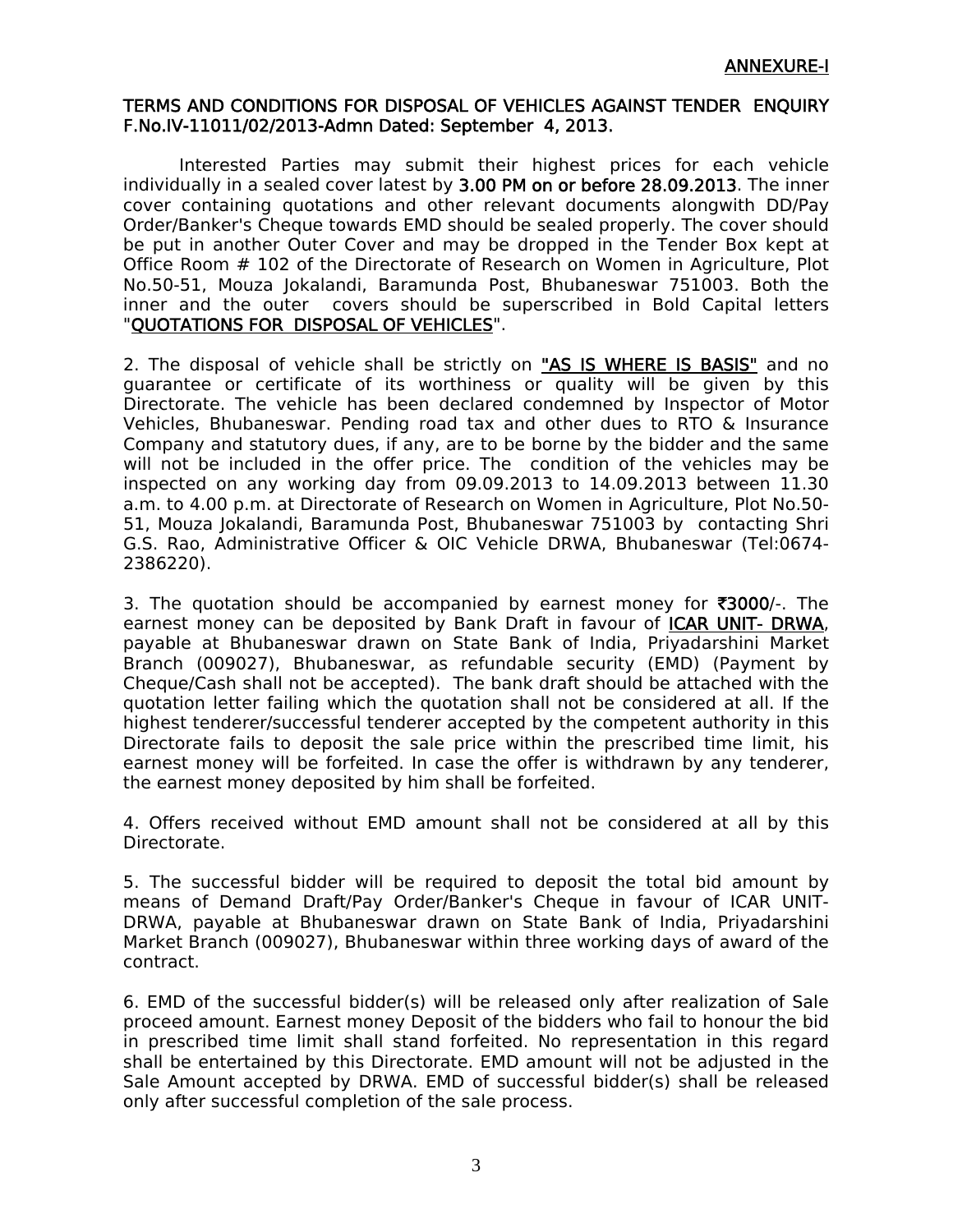#### TERMS AND CONDITIONS FOR DISPOSAL OF VEHICLES AGAINST TENDER ENQUIRY F.No.IV-11011/02/2013-Admn Dated: September 4, 2013.

 Interested Parties may submit their highest prices for each vehicle individually in a sealed cover latest by 3.00 PM on or before 28.09.2013. The inner cover containing quotations and other relevant documents alongwith DD/Pay Order/Banker's Cheque towards EMD should be sealed properly. The cover should be put in another Outer Cover and may be dropped in the Tender Box kept at Office Room # 102 of the Directorate of Research on Women in Agriculture, Plot No.50-51, Mouza Jokalandi, Baramunda Post, Bhubaneswar 751003. Both the inner and the outer covers should be superscribed in Bold Capital letters "QUOTATIONS FOR DISPOSAL OF VEHICLES".

2. The disposal of vehicle shall be strictly on "AS IS WHERE IS BASIS" and no guarantee or certificate of its worthiness or quality will be given by this Directorate. The vehicle has been declared condemned by Inspector of Motor Vehicles, Bhubaneswar. Pending road tax and other dues to RTO & Insurance Company and statutory dues, if any, are to be borne by the bidder and the same will not be included in the offer price. The condition of the vehicles may be inspected on any working day from 09.09.2013 to 14.09.2013 between 11.30 a.m. to 4.00 p.m. at Directorate of Research on Women in Agriculture, Plot No.50- 51, Mouza Jokalandi, Baramunda Post, Bhubaneswar 751003 by contacting Shri G.S. Rao, Administrative Officer & OIC Vehicle DRWA, Bhubaneswar (Tel:0674- 2386220).

3. The quotation should be accompanied by earnest money for  $\overline{\mathfrak{3000}}/2$ . The earnest money can be deposited by Bank Draft in favour of **ICAR UNIT- DRWA**, payable at Bhubaneswar drawn on State Bank of India, Priyadarshini Market Branch (009027), Bhubaneswar, as refundable security (EMD) (Payment by Cheque/Cash shall not be accepted). The bank draft should be attached with the quotation letter failing which the quotation shall not be considered at all. If the highest tenderer/successful tenderer accepted by the competent authority in this Directorate fails to deposit the sale price within the prescribed time limit, his earnest money will be forfeited. In case the offer is withdrawn by any tenderer, the earnest money deposited by him shall be forfeited.

4. Offers received without EMD amount shall not be considered at all by this Directorate.

5. The successful bidder will be required to deposit the total bid amount by means of Demand Draft/Pay Order/Banker's Cheque in favour of ICAR UNIT-DRWA, payable at Bhubaneswar drawn on State Bank of India, Priyadarshini Market Branch (009027), Bhubaneswar within three working days of award of the contract.

6. EMD of the successful bidder(s) will be released only after realization of Sale proceed amount. Earnest money Deposit of the bidders who fail to honour the bid in prescribed time limit shall stand forfeited. No representation in this regard shall be entertained by this Directorate. EMD amount will not be adjusted in the Sale Amount accepted by DRWA. EMD of successful bidder(s) shall be released only after successful completion of the sale process.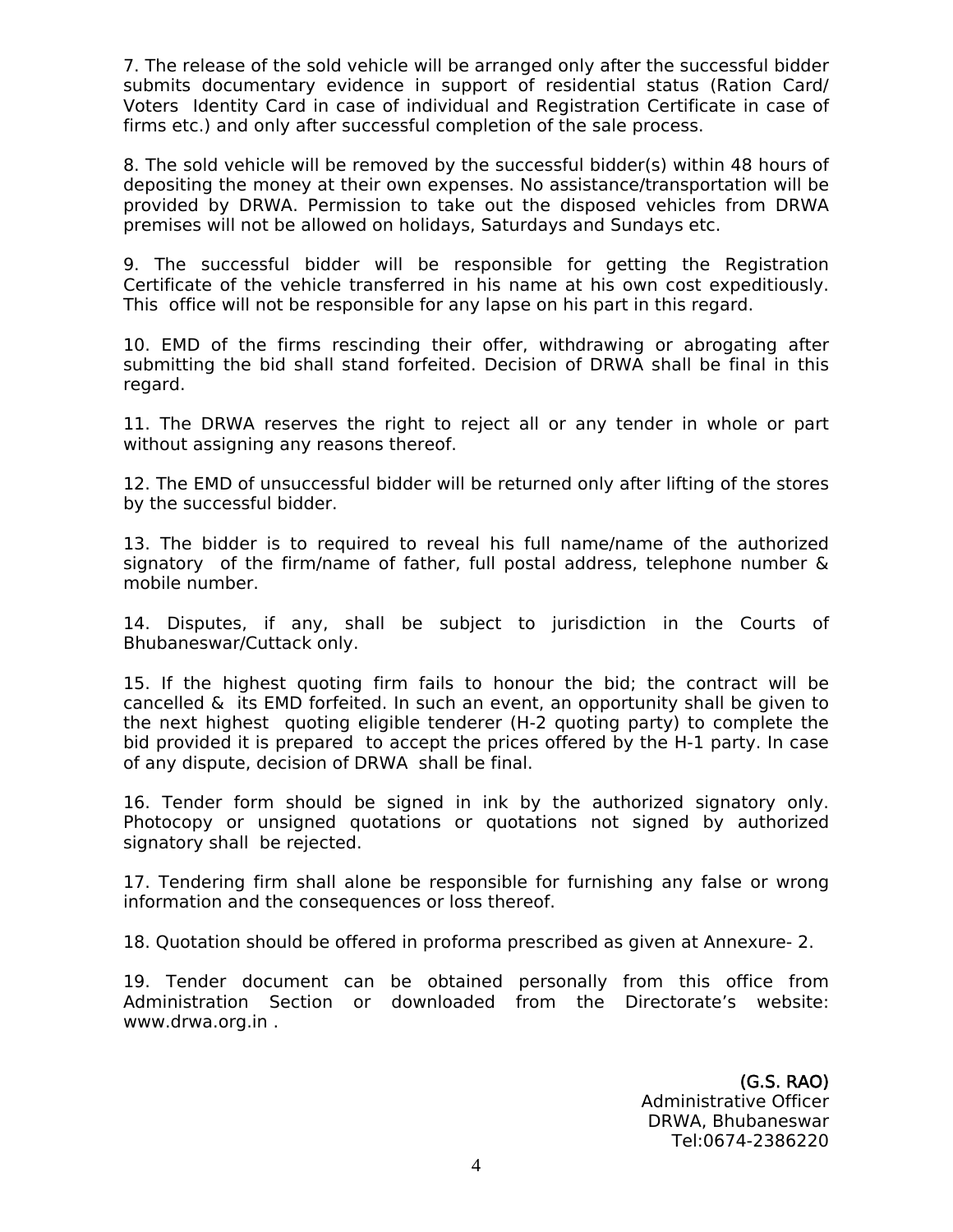7. The release of the sold vehicle will be arranged only after the successful bidder submits documentary evidence in support of residential status (Ration Card/ Voters Identity Card in case of individual and Registration Certificate in case of firms etc.) and only after successful completion of the sale process.

8. The sold vehicle will be removed by the successful bidder(s) within 48 hours of depositing the money at their own expenses. No assistance/transportation will be provided by DRWA. Permission to take out the disposed vehicles from DRWA premises will not be allowed on holidays, Saturdays and Sundays etc.

9. The successful bidder will be responsible for getting the Registration Certificate of the vehicle transferred in his name at his own cost expeditiously. This office will not be responsible for any lapse on his part in this regard.

10. EMD of the firms rescinding their offer, withdrawing or abrogating after submitting the bid shall stand forfeited. Decision of DRWA shall be final in this regard.

11. The DRWA reserves the right to reject all or any tender in whole or part without assigning any reasons thereof.

12. The EMD of unsuccessful bidder will be returned only after lifting of the stores by the successful bidder.

13. The bidder is to required to reveal his full name/name of the authorized signatory of the firm/name of father, full postal address, telephone number & mobile number.

14. Disputes, if any, shall be subject to jurisdiction in the Courts of Bhubaneswar/Cuttack only.

15. If the highest quoting firm fails to honour the bid; the contract will be cancelled & its EMD forfeited. In such an event, an opportunity shall be given to the next highest quoting eligible tenderer (H-2 quoting party) to complete the bid provided it is prepared to accept the prices offered by the H-1 party. In case of any dispute, decision of DRWA shall be final.

16. Tender form should be signed in ink by the authorized signatory only. Photocopy or unsigned quotations or quotations not signed by authorized signatory shall be rejected.

17. Tendering firm shall alone be responsible for furnishing any false or wrong information and the consequences or loss thereof.

18. Quotation should be offered in proforma prescribed as given at Annexure- 2.

19. Tender document can be obtained personally from this office from Administration Section or downloaded from the Directorate's website: www.drwa.org.in .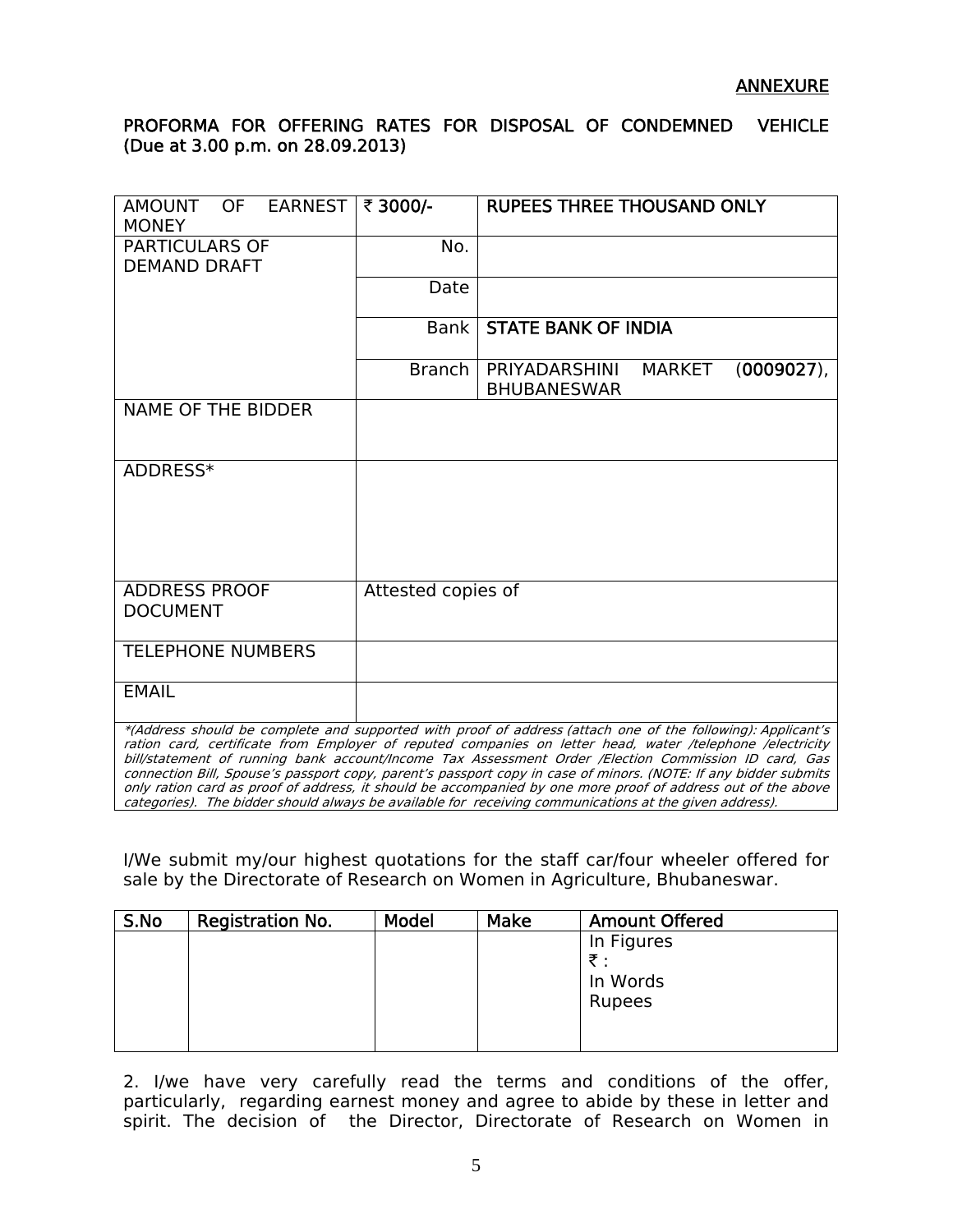### PROFORMA FOR OFFERING RATES FOR DISPOSAL OF CONDEMNED VEHICLE (Due at 3.00 p.m. on 28.09.2013)

| <b>AMOUNT</b><br>OF EARNEST<br><b>MONEY</b>                                                                                                                                                                                                                                                                                                                                                                                                                                                                                                                                                                                                                                   | ₹ 3000/-           | <b>RUPEES THREE THOUSAND ONLY</b>                                     |  |  |
|-------------------------------------------------------------------------------------------------------------------------------------------------------------------------------------------------------------------------------------------------------------------------------------------------------------------------------------------------------------------------------------------------------------------------------------------------------------------------------------------------------------------------------------------------------------------------------------------------------------------------------------------------------------------------------|--------------------|-----------------------------------------------------------------------|--|--|
| <b>PARTICULARS OF</b><br><b>DEMAND DRAFT</b>                                                                                                                                                                                                                                                                                                                                                                                                                                                                                                                                                                                                                                  | No.                |                                                                       |  |  |
|                                                                                                                                                                                                                                                                                                                                                                                                                                                                                                                                                                                                                                                                               | Date               |                                                                       |  |  |
|                                                                                                                                                                                                                                                                                                                                                                                                                                                                                                                                                                                                                                                                               | Bank               | <b>STATE BANK OF INDIA</b>                                            |  |  |
|                                                                                                                                                                                                                                                                                                                                                                                                                                                                                                                                                                                                                                                                               | <b>Branch</b>      | PRIYADARSHINI<br>$(0009027)$ ,<br><b>MARKET</b><br><b>BHUBANESWAR</b> |  |  |
| <b>NAME OF THE BIDDER</b>                                                                                                                                                                                                                                                                                                                                                                                                                                                                                                                                                                                                                                                     |                    |                                                                       |  |  |
| ADDRESS*                                                                                                                                                                                                                                                                                                                                                                                                                                                                                                                                                                                                                                                                      |                    |                                                                       |  |  |
| <b>ADDRESS PROOF</b><br><b>DOCUMENT</b>                                                                                                                                                                                                                                                                                                                                                                                                                                                                                                                                                                                                                                       | Attested copies of |                                                                       |  |  |
| <b>TELEPHONE NUMBERS</b>                                                                                                                                                                                                                                                                                                                                                                                                                                                                                                                                                                                                                                                      |                    |                                                                       |  |  |
| <b>EMAIL</b>                                                                                                                                                                                                                                                                                                                                                                                                                                                                                                                                                                                                                                                                  |                    |                                                                       |  |  |
| *(Address should be complete and supported with proof of address (attach one of the following): Applicant's<br>ration card, certificate from Employer of reputed companies on letter head, water /telephone /electricity<br>bill/statement of running bank account/Income Tax Assessment Order /Election Commission ID card, Gas<br>connection Bill, Spouse's passport copy, parent's passport copy in case of minors. (NOTE: If any bidder submits<br>only ration card as proof of address, it should be accompanied by one more proof of address out of the above<br>categories). The bidder should always be available for receiving communications at the given address). |                    |                                                                       |  |  |

I/We submit my/our highest quotations for the staff car/four wheeler offered for sale by the Directorate of Research on Women in Agriculture, Bhubaneswar.

| S.No | Registration No. | Model | Make | <b>Amount Offered</b> |
|------|------------------|-------|------|-----------------------|
|      |                  |       |      | In Figures<br>₹.      |
|      |                  |       |      | In Words              |
|      |                  |       |      | <b>Rupees</b>         |
|      |                  |       |      |                       |
|      |                  |       |      |                       |

2. I/we have very carefully read the terms and conditions of the offer, particularly, regarding earnest money and agree to abide by these in letter and spirit. The decision of the Director, Directorate of Research on Women in